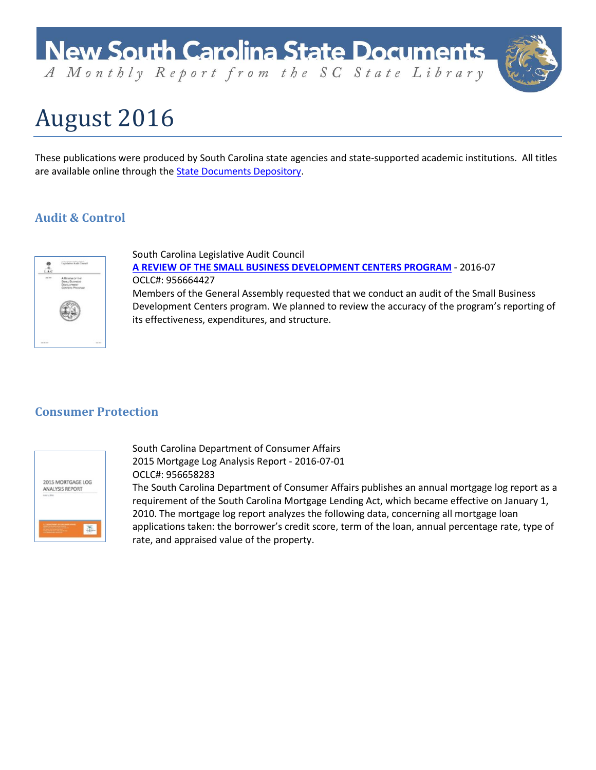A Monthly Report from the SC State Library

# August 2016

These publications were produced by South Carolina state agencies and state-supported academic institutions. All titles are available online through the [State Documents Depository.](http://dc.statelibrary.sc.gov/handle/10827/1)

# **Audit & Control**



South Carolina Legislative Audit Council **[A REVIEW OF THE SMALL BUSINESS DEVELOPMENT CENTERS PROGRAM](http://dc.statelibrary.sc.gov/handle/10827/21649)** - 2016-07 OCLC#: 956664427 Members of the General Assembly requested that we conduct an audit of the Small Business Development Centers program. We planned to review the accuracy of the program's reporting of its effectiveness, expenditures, and structure.

### **Consumer Protection**



South Carolina Department of Consumer Affairs 2015 Mortgage Log Analysis Report - 2016-07-01 OCLC#: 956658283

The South Carolina Department of Consumer Affairs publishes an annual mortgage log report as a requirement of the South Carolina Mortgage Lending Act, which became effective on January 1, 2010. The mortgage log report analyzes the following data, concerning all mortgage loan applications taken: the borrower's credit score, term of the loan, annual percentage rate, type of rate, and appraised value of the property.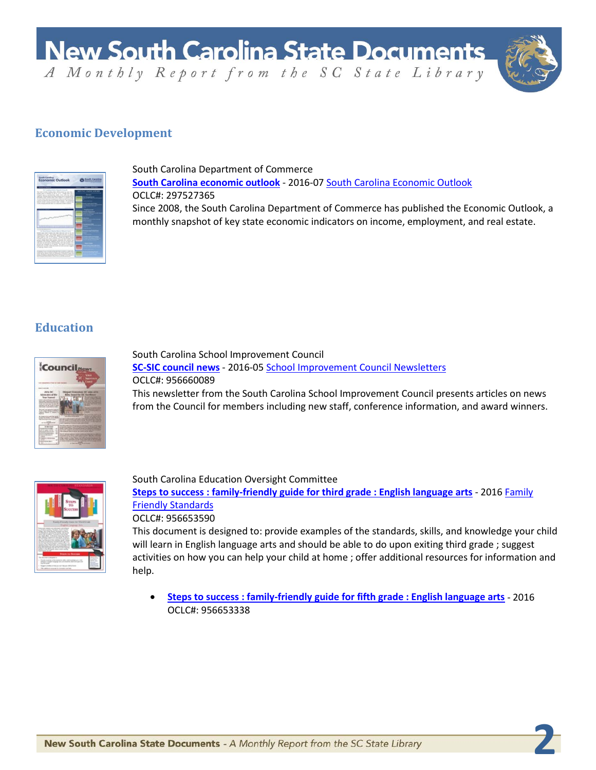**New South Carolina State Documents** A Monthly Report from the SC State Library



**2**

### **Economic Development**



South Carolina Department of Commerce **[South Carolina economic outlook](http://dc.statelibrary.sc.gov/handle/10827/21626)** - 2016-07 [South Carolina Economic Outlook](http://dc.statelibrary.sc.gov/handle/10827/14723) OCLC#: 297527365 Since 2008, the South Carolina Department of Commerce has published the Economic Outlook, a monthly snapshot of key state economic indicators on income, employment, and real estate.

### **Education**



South Carolina School Improvement Council **[SC-SIC council news](http://dc.statelibrary.sc.gov/handle/10827/21635)** - 2016-0[5 School Improvement Council Newsletters](http://dc.statelibrary.sc.gov/handle/10827/5755) OCLC#: 956660089 This newsletter from the South Carolina School Improvement Council presents articles on news from the Council for members including new staff, conference information, and award winners.



South Carolina Education Oversight Committee **[Steps to success : family-friendly guide for third grade : English language arts](http://dc.statelibrary.sc.gov/handle/10827/21742)** - 2016 [Family](http://dc.statelibrary.sc.gov/handle/10827/4791)  [Friendly Standards](http://dc.statelibrary.sc.gov/handle/10827/4791) OCLC#: 956653590 This document is designed to: provide examples of the standards, skills, and knowledge your child

will learn in English language arts and should be able to do upon exiting third grade ; suggest activities on how you can help your child at home ; offer additional resources for information and help.

• **[Steps to success : family-friendly guide for fifth grade : English language arts](http://dc.statelibrary.sc.gov/handle/10827/21720)** - 2016 OCLC#: 956653338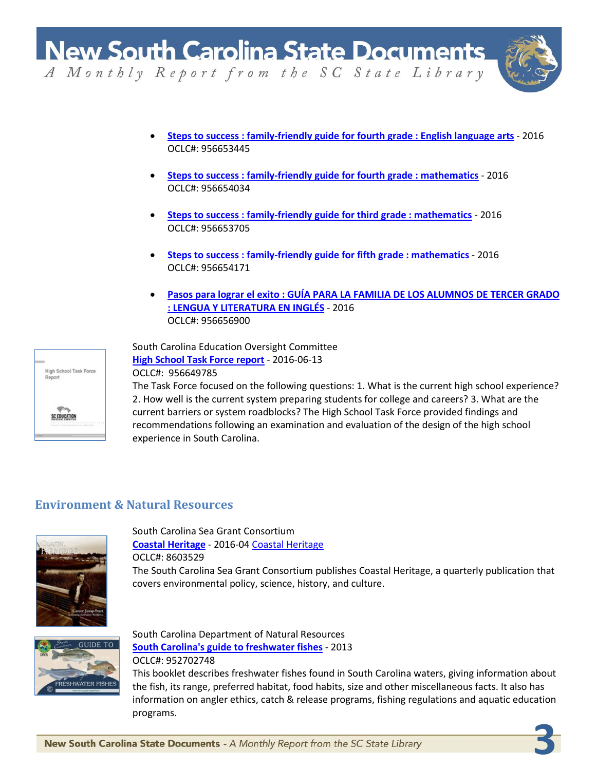

**3**

A Monthly Report from the SC State Library

- **[Steps to success : family-friendly guide for fourth grade : English language arts](http://dc.statelibrary.sc.gov/handle/10827/21733)** 2016 OCLC#: 956653445
- **[Steps to success : family-friendly guide for fourth grade : mathematics](http://dc.statelibrary.sc.gov/handle/10827/21735)** 2016 OCLC#: 956654034
- **[Steps to success : family-friendly guide for third grade : mathematics](http://dc.statelibrary.sc.gov/handle/10827/21736)** 2016 OCLC#: 956653705
- **[Steps to success : family-friendly guide for fifth grade : mathematics](http://dc.statelibrary.sc.gov/handle/10827/21740)** 2016 OCLC#: 956654171
- **[Pasos para lograr el exito : GUÍA PARA LA FAMILIA DE LOS ALUMNOS DE TERCER GRADO](http://dc.statelibrary.sc.gov/handle/10827/21744)  [: LENGUA Y LITERATURA EN INGLÉS](http://dc.statelibrary.sc.gov/handle/10827/21744)** - 2016 OCLC#: 956656900

South Carolina Education Oversight Committee **[High School Task Force report](http://dc.statelibrary.sc.gov/handle/10827/21718)** - 2016-06-13



OCLC#: 956649785

The Task Force focused on the following questions: 1. What is the current high school experience? 2. How well is the current system preparing students for college and careers? 3. What are the current barriers or system roadblocks? The High School Task Force provided findings and recommendations following an examination and evaluation of the design of the high school experience in South Carolina.

### **Environment & Natural Resources**



South Carolina Sea Grant Consortium **[Coastal Heritage](http://dc.statelibrary.sc.gov/handle/10827/21625)** - 2016-04 [Coastal Heritage](http://dc.statelibrary.sc.gov/handle/10827/17409) OCLC#: 8603529

The South Carolina Sea Grant Consortium publishes Coastal Heritage, a quarterly publication that covers environmental policy, science, history, and culture.



South Carolina Department of Natural Resources **[South Carolina's guide to freshwater fishes](http://dc.statelibrary.sc.gov/handle/10827/21641)** - 2013 OCLC#: 952702748

This booklet describes freshwater fishes found in South Carolina waters, giving information about the fish, its range, preferred habitat, food habits, size and other miscellaneous facts. It also has information on angler ethics, catch & release programs, fishing regulations and aquatic education programs.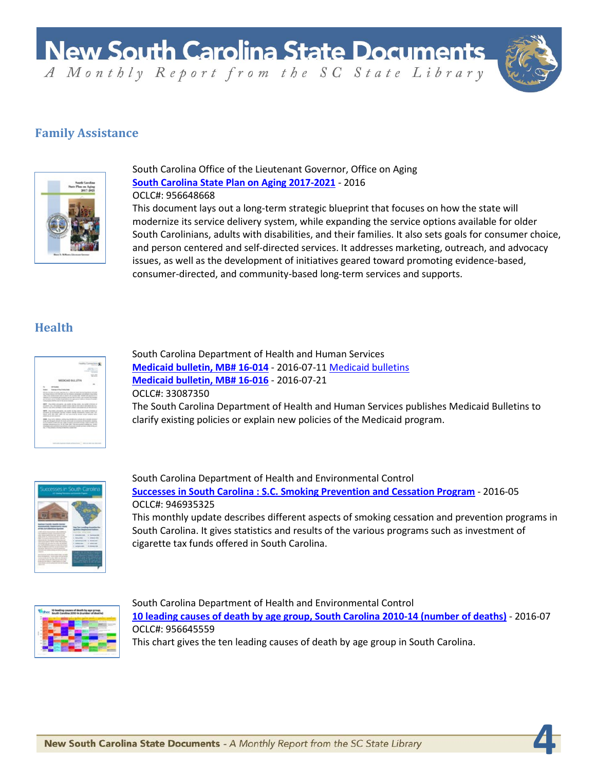A Monthly Report from the SC State Library

**4**

## **Family Assistance**



South Carolina Office of the Lieutenant Governor, Office on Aging **[South Carolina State Plan on Aging 2017-2021](http://dc.statelibrary.sc.gov/handle/10827/21638)** - 2016 OCLC#: 956648668

This document lays out a long-term strategic blueprint that focuses on how the state will modernize its service delivery system, while expanding the service options available for older South Carolinians, adults with disabilities, and their families. It also sets goals for consumer choice, and person centered and self-directed services. It addresses marketing, outreach, and advocacy issues, as well as the development of initiatives geared toward promoting evidence-based, consumer-directed, and community-based long-term services and supports.

# **Health**

| and the state of the lot                                                                                                                                                                                                                                                                                                                                                                                                                                 |         |
|----------------------------------------------------------------------------------------------------------------------------------------------------------------------------------------------------------------------------------------------------------------------------------------------------------------------------------------------------------------------------------------------------------------------------------------------------------|---------|
| ------<br>_____<br><b>CONTRACTOR</b>                                                                                                                                                                                                                                                                                                                                                                                                                     |         |
| <b>STATISTICS</b><br><b>SCALE</b>                                                                                                                                                                                                                                                                                                                                                                                                                        |         |
| NATON' AUD BUILTERS                                                                                                                                                                                                                                                                                                                                                                                                                                      |         |
|                                                                                                                                                                                                                                                                                                                                                                                                                                                          |         |
|                                                                                                                                                                                                                                                                                                                                                                                                                                                          |         |
| and in the position of                                                                                                                                                                                                                                                                                                                                                                                                                                   |         |
| an hour book will sell all over to latest an except an address the role.<br>with a lot stabilizing the at motive is a scalar and direct ad annual is a<br>degrees of the probability and provided stations and section and the positions.<br>as present area fourteen manufacturers and area made<br>and Benedict & Andrew<br><b>SURGICAL MOVIE CALL RESIDENTS</b>                                                                                       |         |
| MATT. The bills extending all books of the tends on actin of discover.<br>anywhere. The children between the party of the form affect state and the direct<br>Market Link and American structure and company and company and the articles                                                                                                                                                                                                                |         |
| sent the total countries on posted of the control on writer of three at<br>analysis to recognize Arrists colours about constraints interesting the<br>was art we are got a su account tour and other and<br>comment on the position.                                                                                                                                                                                                                     |         |
| sense. Any today addition where they recognize such as the country contact of<br>sing an allowed whose stungly adult and at increase structured and<br>as the future in the case and in a state construction and the interest and<br>enting resummance is a distributed of the antennance enterprise states<br>Christmas & controls a products of persons today person with testing on<br>also full than determine an indian constitution of an official | $-0.00$ |
|                                                                                                                                                                                                                                                                                                                                                                                                                                                          |         |

South Carolina Department of Health and Human Services **[Medicaid bulletin, MB# 16-014](http://dc.statelibrary.sc.gov/handle/10827/21627)** - 2016-07-11 [Medicaid bulletins](http://dc.statelibrary.sc.gov/handle/10827/18918) **[Medicaid bulletin, MB# 16-016](http://dc.statelibrary.sc.gov/handle/10827/21628)** - 2016-07-21 OCLC#: 33087350 The South Carolina Department of Health and Human Services publishes Medicaid Bulletins to clarify existing policies or explain new policies of the Medicaid program.



South Carolina Department of Health and Environmental Control **[Successes in South Carolina : S.C. Smoking Prevention and Cessation Program](http://dc.statelibrary.sc.gov/handle/10827/21707)** - 2016-05 OCLC#: 946935325 This monthly update describes different aspects of smoking cessation and prevention programs in South Carolina. It gives statistics and results of the various programs such as investment of



South Carolina Department of Health and Environmental Control **[10 leading causes of death by age group, South Carolina 2010-14 \(number of deaths\)](http://dc.statelibrary.sc.gov/handle/10827/21660)** - 2016-07 OCLC#: 956645559 This chart gives the ten leading causes of death by age group in South Carolina.

cigarette tax funds offered in South Carolina.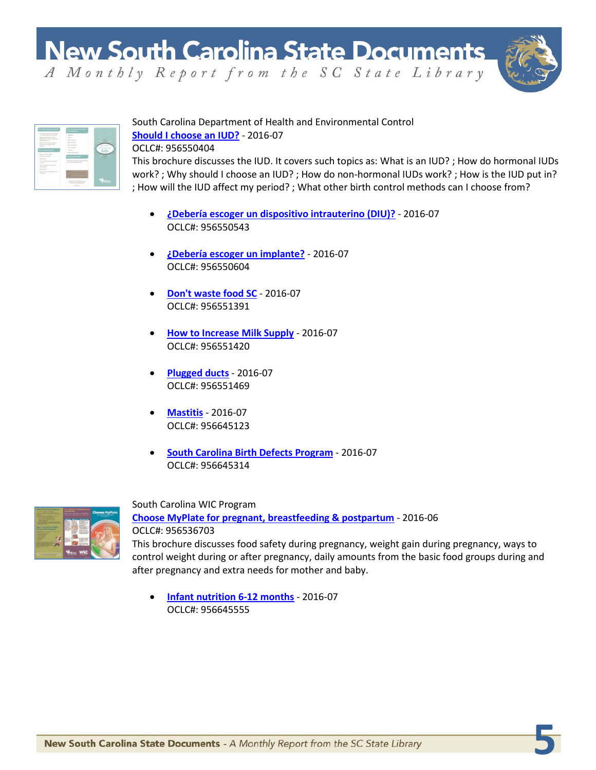A Monthly Report from the SC State Library



**5**

## South Carolina Department of Health and Environmental Control **[Should I choose an IUD?](http://dc.statelibrary.sc.gov/handle/10827/21688)** - 2016-07

OCLC#: 956550404

This brochure discusses the IUD. It covers such topics as: What is an IUD? ; How do hormonal IUDs work? ; Why should I choose an IUD? ; How do non-hormonal IUDs work? ; How is the IUD put in? ; How will the IUD affect my period? ; What other birth control methods can I choose from?

- **[¿Debería escoger un dispositivo intrauterino \(DIU\)?](http://dc.statelibrary.sc.gov/handle/10827/21689)** 2016-07 OCLC#: 956550543
- **[¿Debería escoger un implante?](http://dc.statelibrary.sc.gov/handle/10827/21692)** 2016-07 OCLC#: 956550604
- **[Don't waste food SC](http://dc.statelibrary.sc.gov/handle/10827/21697)** 2016-07 OCLC#: 956551391
- **[How to Increase Milk Supply](http://dc.statelibrary.sc.gov/handle/10827/21702)** 2016-07 OCLC#: 956551420
- **[Plugged ducts](http://dc.statelibrary.sc.gov/handle/10827/21703)** 2016-07 OCLC#: 956551469
- **[Mastitis](http://dc.statelibrary.sc.gov/handle/10827/21704)** 2016-07 OCLC#: 956645123
- **[South Carolina Birth Defects Program](http://dc.statelibrary.sc.gov/handle/10827/21709)** 2016-07 OCLC#: 956645314



South Carolina WIC Program **[Choose MyPlate for pregnant, breastfeeding & postpartum](http://dc.statelibrary.sc.gov/handle/10827/21661)** - 2016-06 OCLC#: 956536703 This brochure discusses food safety during pregnancy, weight gain during pregnancy, ways to control weight during or after pregnancy, daily amounts from the basic food groups during and after pregnancy and extra needs for mother and baby.

• **[Infant nutrition 6-12 months](http://dc.statelibrary.sc.gov/handle/10827/21711)** - 2016-07 OCLC#: 956645555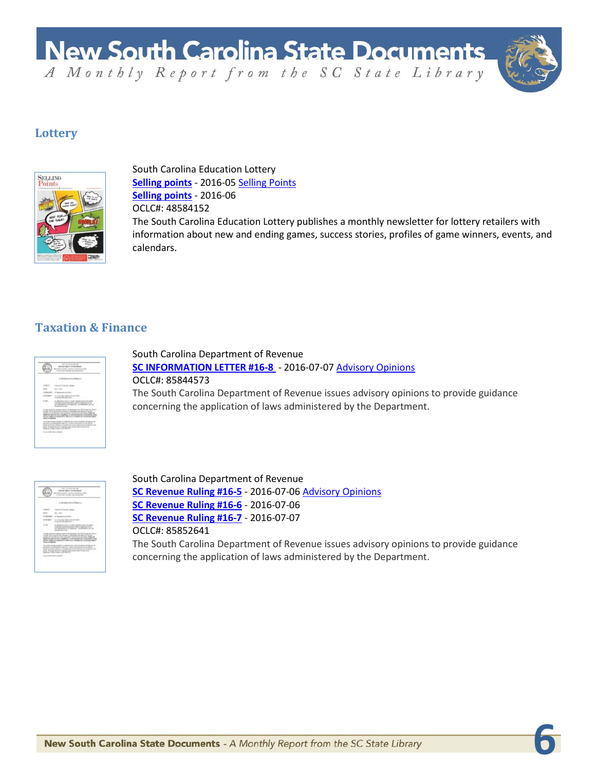**New South Carolina State Documents** A Monthly Report from the SC State Library



**6**

## **Lottery**



South Carolina Education Lottery **[Selling points](http://dc.statelibrary.sc.gov/handle/10827/21623)** - 2016-05 [Selling Points](http://dc.statelibrary.sc.gov/handle/10827/9443) **[Selling points](http://dc.statelibrary.sc.gov/handle/10827/9443)** - 2016-06 OCLC#: 48584152 The South Carolina Education Lottery publishes a monthly newsletter for lottery retailers with information about new and ending games, success stories, profiles of game winners, events, and calendars.

### **Taxation & Finance**

|                 | many on condition particulars.<br><b><i>SANAH DEN TARASSER</i></b><br>have been disc, intended build develop \$40.00<br>the fact that the same book the start that                                                                                                                                                                                                                                |
|-----------------|---------------------------------------------------------------------------------------------------------------------------------------------------------------------------------------------------------------------------------------------------------------------------------------------------------------------------------------------------------------------------------------------------|
|                 | <b>Barnett Mark College and</b>                                                                                                                                                                                                                                                                                                                                                                   |
| <b>SCANNER</b>  | and it company language                                                                                                                                                                                                                                                                                                                                                                           |
|                 | the Common                                                                                                                                                                                                                                                                                                                                                                                        |
| <b>MANUFACT</b> | 27 Schwarzschulen, March 1111                                                                                                                                                                                                                                                                                                                                                                     |
| n ma<br>Y.      | ANTIMONETY. In C. Gas a day frame that the best of<br>12 Bornstein Princettes Alan A                                                                                                                                                                                                                                                                                                              |
|                 | de followation/select a continue become tensories describition<br>to manager a street school provided a constraint with the<br>ter exclusive to themself in advanced the re-                                                                                                                                                                                                                      |
| presidents.     | A stage of an operator complete the flaggerous long HAT decays has \$30.6 a.m.<br>a strate. This is start and the searchers in determined also allows see advance.<br>as many two as then percents printed to be her chief develops. It does not<br>Middle the other cars have, manifestate, or wear decrease than on any results to<br>ables added it built all to obtain a children by mainting |
|                 | "Business the battering and a continues and on the completes of singers and<br>partners authorities such an Texas of faxada of our 40 for<br>looks in all cars against the acceptance of any days are in contained from<br>costs. If you that at an on a stational attack overar Austi To your is the<br>Pack road College Chapter & ROUAN III II                                                 |
|                 |                                                                                                                                                                                                                                                                                                                                                                                                   |

South Carolina Department of Revenue **[SC INFORMATION LETTER #16-8](http://dc.statelibrary.sc.gov/handle/10827/21629)** - 2016-07-07 [Advisory Opinions](http://dc.statelibrary.sc.gov/handle/10827/15085) OCLC#: 85844573 The South Carolina Department of Revenue issues advisory opinions to provide guidance concerning the application of laws administered by the Department.

|                        | a code internet<br><b>SERVE SAINT OF REGIMER</b><br>America State Arcora 2010                                                                                                                                                                                                                                                                                                                                                                                                                                                                                                                                                                                                       |
|------------------------|-------------------------------------------------------------------------------------------------------------------------------------------------------------------------------------------------------------------------------------------------------------------------------------------------------------------------------------------------------------------------------------------------------------------------------------------------------------------------------------------------------------------------------------------------------------------------------------------------------------------------------------------------------------------------------------|
|                        | 10 to 100 hours between the c                                                                                                                                                                                                                                                                                                                                                                                                                                                                                                                                                                                                                                                       |
|                        | <b>REALTH CETTERAL</b>                                                                                                                                                                                                                                                                                                                                                                                                                                                                                                                                                                                                                                                              |
| ----                   | an of It Amount Cancer                                                                                                                                                                                                                                                                                                                                                                                                                                                                                                                                                                                                                                                              |
| <b>SATE</b>            | Sections."                                                                                                                                                                                                                                                                                                                                                                                                                                                                                                                                                                                                                                                                          |
|                        | <b>SURGEREY IT SESSENTIAL RULL </b>                                                                                                                                                                                                                                                                                                                                                                                                                                                                                                                                                                                                                                                 |
|                        | ANTIMONY - In C. Goog Alan Engine City 240 Street<br>12 Brookly Houston Alat 1                                                                                                                                                                                                                                                                                                                                                                                                                                                                                                                                                                                                      |
| <b>TIME</b>            | de fabricacion l'arte à cretitare internate mondre de cabille-<br>in statement as more to the country would be computed with the<br>tel: Managed 5, St Redmart, In Milledge 1, Inc. let<br>- materials and                                                                                                                                                                                                                                                                                                                                                                                                                                                                          |
| property of positions. | A strain of all core continues to put to the Department from 1997 decept from 2014 at<br>with The case and in expense in the same at a discuss above.<br>in the case of the second, and that's factor that there is the 1 day of<br>Middle the other cars bars, manifestate or were decrease from an air.<br>all forms addition in the first of the reflection and other for mount<br>Manufacture the days released of a selection and out the convenience of antigency, the<br>patients activation salesm. Some of invasts of our 40 to<br>looks that you along in Calvas he is an exchanged transition of the<br>than \$1,000 at all a wide a series and contact have been a che- |
|                        | Designated Chief Charles at 101-846-11-12<br>A new other connect shalled                                                                                                                                                                                                                                                                                                                                                                                                                                                                                                                                                                                                            |
|                        |                                                                                                                                                                                                                                                                                                                                                                                                                                                                                                                                                                                                                                                                                     |

South Carolina Department of Revenue **[SC Revenue Ruling #16-5](http://dc.statelibrary.sc.gov/handle/10827/21631)** - 2016-07-06 [Advisory Opinions](http://dc.statelibrary.sc.gov/handle/10827/15085) **[SC Revenue Ruling #16-6](http://dc.statelibrary.sc.gov/handle/10827/21629)** - 2016-07-06 **[SC Revenue Ruling #16-7](http://dc.statelibrary.sc.gov/handle/10827/21633)** - 2016-07-07 OCLC#: 85852641 The South Carolina Department of Revenue issues advisory opinions to provide guidance concerning the application of laws administered by the Department.